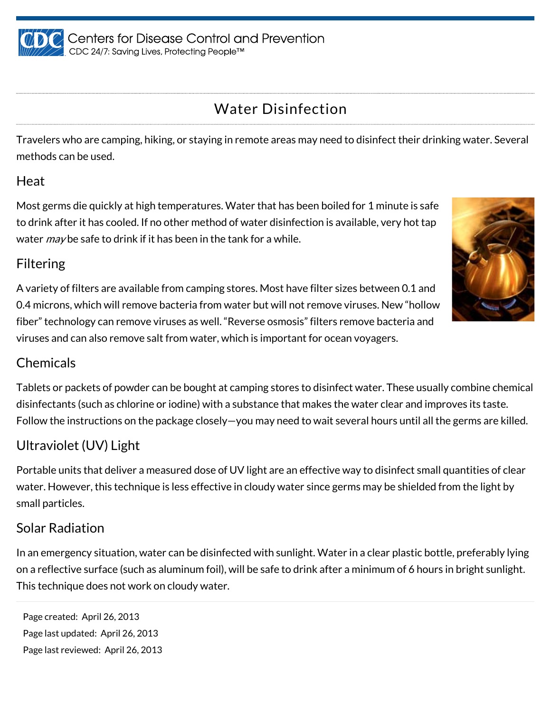

# Water Disinfection

Travelers who are camping, hiking, or staying in remote areas may need to disinfect their drinking water. Several methods can be used.

#### Heat

Most germs die quickly at high temperatures. Water that has been boiled for 1 minute is safe to drink after it has cooled. If no other method of water disinfection is available, very hot tap water *may* be safe to drink if it has been in the tank for a while.

### Filtering

A variety of filters are available from camping stores. Most have filter sizes between 0.1 and 0.4 microns, which will remove bacteria from water but will not remove viruses. New "hollow fiber" technology can remove viruses as well. "Reverse osmosis" filters remove bacteria and viruses and can also remove salt from water, which is important for ocean voyagers.

#### **Chemicals**

Tablets or packets of powder can be bought at camping stores to disinfect water. These usually combine chemical disinfectants (such as chlorine or iodine) with a substance that makes the water clear and improves its taste. Follow the instructions on the package closely—you may need to wait several hours until all the germs are killed.

## Ultraviolet (UV) Light

Portable units that deliver a measured dose of UV light are an effective way to disinfect small quantities of clear water. However, this technique is less effective in cloudy water since germs may be shielded from the light by small particles.

#### Solar Radiation

In an emergency situation, water can be disinfected with sunlight. Water in a clear plastic bottle, preferably lying on a reflective surface (such as aluminum foil), will be safe to drink after a minimum of 6 hours in bright sunlight. This technique does not work on cloudy water.

Page created: April 26, 2013 Page last updated: April 26, 2013 Page last reviewed: April 26, 2013